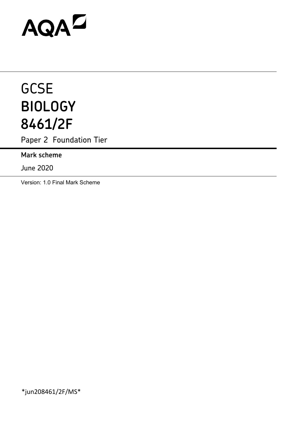# AQAD

# **GCSE BIOLOGY 8461/2F**

Paper 2 Foundation Tier

**Mark scheme**

June 2020

Version: 1.0 Final Mark Scheme

\*jun208461/2F/MS\*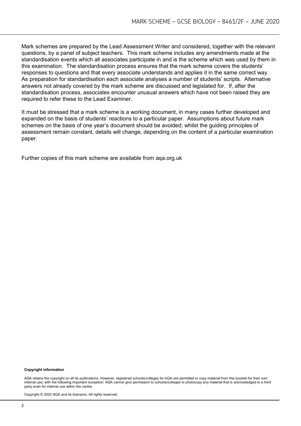Mark schemes are prepared by the Lead Assessment Writer and considered, together with the relevant questions, by a panel of subject teachers. This mark scheme includes any amendments made at the standardisation events which all associates participate in and is the scheme which was used by them in this examination. The standardisation process ensures that the mark scheme covers the students' responses to questions and that every associate understands and applies it in the same correct way. As preparation for standardisation each associate analyses a number of students' scripts. Alternative answers not already covered by the mark scheme are discussed and legislated for. If, after the standardisation process, associates encounter unusual answers which have not been raised they are required to refer these to the Lead Examiner.

It must be stressed that a mark scheme is a working document, in many cases further developed and expanded on the basis of students' reactions to a particular paper. Assumptions about future mark schemes on the basis of one year's document should be avoided; whilst the guiding principles of assessment remain constant, details will change, depending on the content of a particular examination paper.

Further copies of this mark scheme are available from aqa.org.uk

#### **Copyright information**

AQA retains the copyright on all its publications. However, registered schools/colleges for AQA are permitted to copy material from this booklet for their own internal use, with the following important exception: AQA cannot give permission to schools/colleges to photocopy any material that is acknowledged to a third party even for internal use within the centre.

Copyright © 2020 AQA and its licensors. All rights reserved.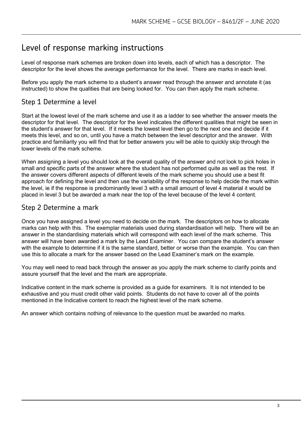# Level of response marking instructions

Level of response mark schemes are broken down into levels, each of which has a descriptor. The descriptor for the level shows the average performance for the level. There are marks in each level.

Before you apply the mark scheme to a student's answer read through the answer and annotate it (as instructed) to show the qualities that are being looked for. You can then apply the mark scheme.

# Step 1 Determine a level

Start at the lowest level of the mark scheme and use it as a ladder to see whether the answer meets the descriptor for that level. The descriptor for the level indicates the different qualities that might be seen in the student's answer for that level. If it meets the lowest level then go to the next one and decide if it meets this level, and so on, until you have a match between the level descriptor and the answer. With practice and familiarity you will find that for better answers you will be able to quickly skip through the lower levels of the mark scheme.

When assigning a level you should look at the overall quality of the answer and not look to pick holes in small and specific parts of the answer where the student has not performed quite as well as the rest. If the answer covers different aspects of different levels of the mark scheme you should use a best fit approach for defining the level and then use the variability of the response to help decide the mark within the level, ie if the response is predominantly level 3 with a small amount of level 4 material it would be placed in level 3 but be awarded a mark near the top of the level because of the level 4 content.

## Step 2 Determine a mark

Once you have assigned a level you need to decide on the mark. The descriptors on how to allocate marks can help with this. The exemplar materials used during standardisation will help. There will be an answer in the standardising materials which will correspond with each level of the mark scheme. This answer will have been awarded a mark by the Lead Examiner. You can compare the student's answer with the example to determine if it is the same standard, better or worse than the example. You can then use this to allocate a mark for the answer based on the Lead Examiner's mark on the example.

You may well need to read back through the answer as you apply the mark scheme to clarify points and assure yourself that the level and the mark are appropriate.

Indicative content in the mark scheme is provided as a guide for examiners. It is not intended to be exhaustive and you must credit other valid points. Students do not have to cover all of the points mentioned in the Indicative content to reach the highest level of the mark scheme.

An answer which contains nothing of relevance to the question must be awarded no marks.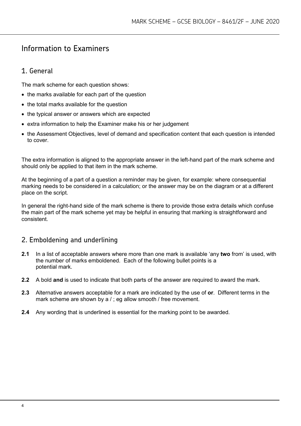# Information to Examiners

# 1. General

The mark scheme for each question shows:

- the marks available for each part of the question
- the total marks available for the question
- the typical answer or answers which are expected
- extra information to help the Examiner make his or her judgement
- the Assessment Objectives, level of demand and specification content that each question is intended to cover.

The extra information is aligned to the appropriate answer in the left-hand part of the mark scheme and should only be applied to that item in the mark scheme.

At the beginning of a part of a question a reminder may be given, for example: where consequential marking needs to be considered in a calculation; or the answer may be on the diagram or at a different place on the script.

In general the right-hand side of the mark scheme is there to provide those extra details which confuse the main part of the mark scheme yet may be helpful in ensuring that marking is straightforward and consistent.

# 2. Emboldening and underlining

- **2.1** In a list of acceptable answers where more than one mark is available 'any **two** from' is used, with the number of marks emboldened. Each of the following bullet points is a potential mark.
- **2.2** A bold **and** is used to indicate that both parts of the answer are required to award the mark.
- **2.3** Alternative answers acceptable for a mark are indicated by the use of **or**. Different terms in the mark scheme are shown by a / ; eg allow smooth / free movement.
- **2.4** Any wording that is underlined is essential for the marking point to be awarded.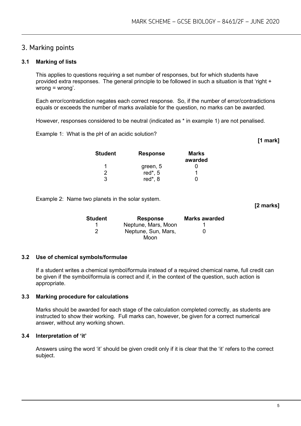### 3. Marking points

#### **3.1 Marking of lists**

This applies to questions requiring a set number of responses, but for which students have provided extra responses. The general principle to be followed in such a situation is that 'right + wrong = wrong'.

Each error/contradiction negates each correct response. So, if the number of error/contradictions equals or exceeds the number of marks available for the question, no marks can be awarded.

However, responses considered to be neutral (indicated as \* in example 1) are not penalised.

Example 1: What is the pH of an acidic solution?

| <b>Student</b> | <b>Response</b> | Marks<br>awarded |
|----------------|-----------------|------------------|
|                | green, 5        |                  |
| 2              | red*, 5         |                  |
| 3              | red*, 8         |                  |

Example 2: Name two planets in the solar system.

| Student | <b>Response</b>     | <b>Marks awarded</b> |
|---------|---------------------|----------------------|
|         | Neptune, Mars, Moon |                      |
| 2       | Neptune, Sun, Mars, | 0                    |
|         | Moon                |                      |

#### **3.2 Use of chemical symbols/formulae**

If a student writes a chemical symbol/formula instead of a required chemical name, full credit can be given if the symbol/formula is correct and if, in the context of the question, such action is appropriate.

#### **3.3 Marking procedure for calculations**

Marks should be awarded for each stage of the calculation completed correctly, as students are instructed to show their working. Full marks can, however, be given for a correct numerical answer, without any working shown.

#### **3.4 Interpretation of 'it'**

Answers using the word 'it' should be given credit only if it is clear that the 'it' refers to the correct subject.

**[2 marks]**

**[1 mark]**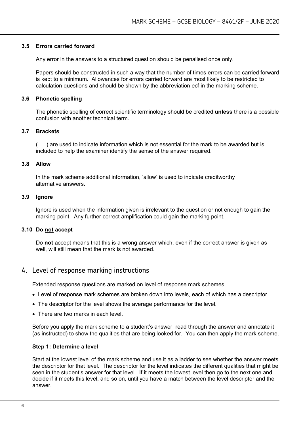#### **3.5 Errors carried forward**

Any error in the answers to a structured question should be penalised once only.

Papers should be constructed in such a way that the number of times errors can be carried forward is kept to a minimum. Allowances for errors carried forward are most likely to be restricted to calculation questions and should be shown by the abbreviation ecf in the marking scheme.

#### **3.6 Phonetic spelling**

The phonetic spelling of correct scientific terminology should be credited **unless** there is a possible confusion with another technical term.

#### **3.7 Brackets**

(…..) are used to indicate information which is not essential for the mark to be awarded but is included to help the examiner identify the sense of the answer required.

#### **3.8 Allow**

In the mark scheme additional information, 'allow' is used to indicate creditworthy alternative answers.

#### **3.9 Ignore**

Ignore is used when the information given is irrelevant to the question or not enough to gain the marking point. Any further correct amplification could gain the marking point.

#### **3.10 Do not accept**

Do **not** accept means that this is a wrong answer which, even if the correct answer is given as well, will still mean that the mark is not awarded.

#### 4. Level of response marking instructions

Extended response questions are marked on level of response mark schemes.

- Level of response mark schemes are broken down into levels, each of which has a descriptor.
- The descriptor for the level shows the average performance for the level.
- There are two marks in each level.

Before you apply the mark scheme to a student's answer, read through the answer and annotate it (as instructed) to show the qualities that are being looked for. You can then apply the mark scheme.

#### **Step 1: Determine a level**

Start at the lowest level of the mark scheme and use it as a ladder to see whether the answer meets the descriptor for that level. The descriptor for the level indicates the different qualities that might be seen in the student's answer for that level. If it meets the lowest level then go to the next one and decide if it meets this level, and so on, until you have a match between the level descriptor and the answer.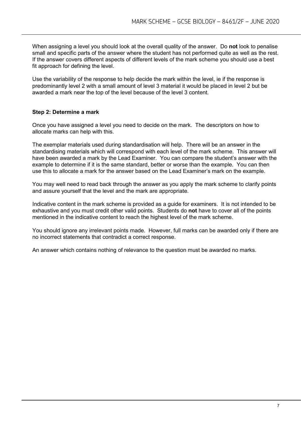When assigning a level you should look at the overall quality of the answer. Do **not** look to penalise small and specific parts of the answer where the student has not performed quite as well as the rest. If the answer covers different aspects of different levels of the mark scheme you should use a best fit approach for defining the level.

Use the variability of the response to help decide the mark within the level, ie if the response is predominantly level 2 with a small amount of level 3 material it would be placed in level 2 but be awarded a mark near the top of the level because of the level 3 content.

#### **Step 2: Determine a mark**

Once you have assigned a level you need to decide on the mark. The descriptors on how to allocate marks can help with this.

The exemplar materials used during standardisation will help. There will be an answer in the standardising materials which will correspond with each level of the mark scheme. This answer will have been awarded a mark by the Lead Examiner. You can compare the student's answer with the example to determine if it is the same standard, better or worse than the example. You can then use this to allocate a mark for the answer based on the Lead Examiner's mark on the example.

You may well need to read back through the answer as you apply the mark scheme to clarify points and assure yourself that the level and the mark are appropriate.

Indicative content in the mark scheme is provided as a guide for examiners. It is not intended to be exhaustive and you must credit other valid points. Students do **not** have to cover all of the points mentioned in the indicative content to reach the highest level of the mark scheme.

You should ignore any irrelevant points made. However, full marks can be awarded only if there are no incorrect statements that contradict a correct response.

An answer which contains nothing of relevance to the question must be awarded no marks.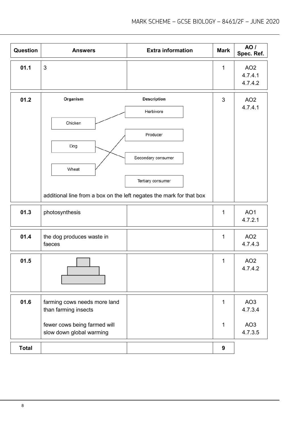| Question     | <b>Answers</b>                                                                                              | <b>Extra information</b>                                                               | <b>Mark</b>  | <b>AO</b> /<br>Spec. Ref.             |
|--------------|-------------------------------------------------------------------------------------------------------------|----------------------------------------------------------------------------------------|--------------|---------------------------------------|
| 01.1         | 3                                                                                                           |                                                                                        | 1            | AO <sub>2</sub><br>4.7.4.1<br>4.7.4.2 |
| 01.2         | Organism<br>Chicken<br>Dog<br>Wheat<br>additional line from a box on the left negates the mark for that box | <b>Description</b><br>Herbivore<br>Producer<br>Secondary consumer<br>Tertiary consumer | 3            | AO <sub>2</sub><br>4.7.4.1            |
| 01.3         | photosynthesis                                                                                              |                                                                                        | 1            | AO <sub>1</sub><br>4.7.2.1            |
| 01.4         | the dog produces waste in<br>faeces                                                                         |                                                                                        | 1            | AO <sub>2</sub><br>4.7.4.3            |
| 01.5         |                                                                                                             |                                                                                        | 1            | AO <sub>2</sub><br>4.7.4.2            |
| 01.6         | farming cows needs more land<br>than farming insects                                                        |                                                                                        | $\mathbf{1}$ | AO <sub>3</sub><br>4.7.3.4            |
|              | fewer cows being farmed will<br>slow down global warming                                                    |                                                                                        | 1            | AO <sub>3</sub><br>4.7.3.5            |
| <b>Total</b> |                                                                                                             |                                                                                        | 9            |                                       |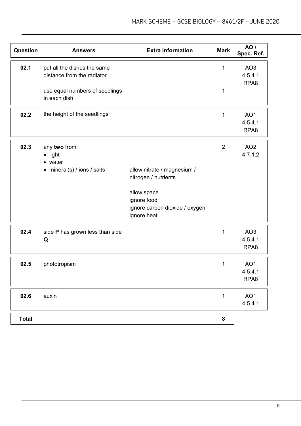| Question     | <b>Answers</b>                                                     | <b>Extra information</b>                                                                                                           | <b>Mark</b>    | AO /<br>Spec. Ref.                             |
|--------------|--------------------------------------------------------------------|------------------------------------------------------------------------------------------------------------------------------------|----------------|------------------------------------------------|
| 02.1         | put all the dishes the same<br>distance from the radiator          |                                                                                                                                    | $\mathbf{1}$   | AO <sub>3</sub><br>4.5.4.1<br>RPA8             |
|              | use equal numbers of seedlings<br>in each dish                     |                                                                                                                                    | 1              |                                                |
| 02.2         | the height of the seedlings                                        |                                                                                                                                    | $\mathbf{1}$   | AO <sub>1</sub><br>4.5.4.1<br>RPA <sub>8</sub> |
| 02.3         | any two from:<br>• light<br>• water<br>• mineral(s) / ions / salts | allow nitrate / magnesium /<br>nitrogen / nutrients<br>allow space<br>ignore food<br>ignore carbon dioxide / oxygen<br>ignore heat | $\overline{2}$ | AO <sub>2</sub><br>4.7.1.2                     |
| 02.4         | side P has grown less than side<br>Q                               |                                                                                                                                    | 1              | AO <sub>3</sub><br>4.5.4.1<br>RPA8             |
| 02.5         | phototropism                                                       |                                                                                                                                    | 1              | AO <sub>1</sub><br>4.5.4.1<br>RPA8             |
| 02.6         | auxin                                                              |                                                                                                                                    | 1              | AO <sub>1</sub><br>4.5.4.1                     |
| <b>Total</b> |                                                                    |                                                                                                                                    | 8              |                                                |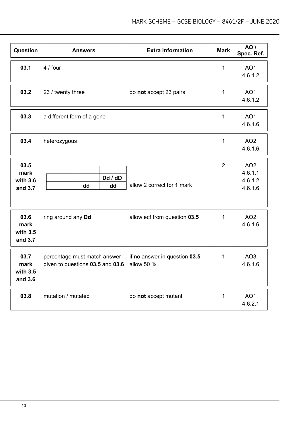| <b>Question</b>                       | <b>Answers</b>                                                   | <b>Extra information</b>                    | <b>Mark</b>    | <b>AO</b> /<br>Spec. Ref.                        |
|---------------------------------------|------------------------------------------------------------------|---------------------------------------------|----------------|--------------------------------------------------|
| 03.1                                  | 4 / four                                                         |                                             | 1              | AO <sub>1</sub><br>4.6.1.2                       |
| 03.2                                  | 23 / twenty three                                                | do not accept 23 pairs                      | 1              | AO <sub>1</sub><br>4.6.1.2                       |
| 03.3                                  | a different form of a gene                                       |                                             | 1              | AO <sub>1</sub><br>4.6.1.6                       |
| 03.4                                  | heterozygous                                                     |                                             | $\mathbf 1$    | AO <sub>2</sub><br>4.6.1.6                       |
| 03.5<br>mark<br>with 3.6<br>and 3.7   | Dd / dD<br>dd<br>dd                                              | allow 2 correct for 1 mark                  | $\overline{2}$ | AO <sub>2</sub><br>4.6.1.1<br>4.6.1.2<br>4.6.1.6 |
| 03.6<br>mark<br>with $3.5$<br>and 3.7 | ring around any Dd                                               | allow ecf from question 03.5                | $\mathbf{1}$   | AO <sub>2</sub><br>4.6.1.6                       |
| 03.7<br>mark<br>with 3.5<br>and 3.6   | percentage must match answer<br>given to questions 03.5 and 03.6 | if no answer in question 03.5<br>allow 50 % | $\mathbf 1$    | AO <sub>3</sub><br>4.6.1.6                       |
| 03.8                                  | mutation / mutated                                               | do not accept mutant                        | 1              | AO <sub>1</sub><br>4.6.2.1                       |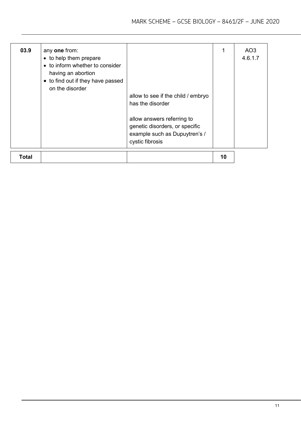| 03.9  | any one from:<br>• to help them prepare<br>• to inform whether to consider<br>having an abortion<br>• to find out if they have passed<br>on the disorder | allow to see if the child / embryo<br>has the disorder<br>allow answers referring to<br>genetic disorders, or specific<br>example such as Dupuytren's /<br>cystic fibrosis |    | AO3<br>4.6.1.7 |
|-------|----------------------------------------------------------------------------------------------------------------------------------------------------------|----------------------------------------------------------------------------------------------------------------------------------------------------------------------------|----|----------------|
| Total |                                                                                                                                                          |                                                                                                                                                                            | 10 |                |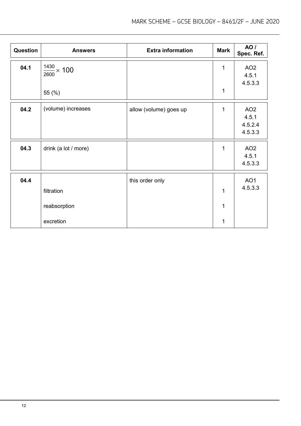| Question | <b>Answers</b>            | <b>Extra information</b> | <b>Mark</b>  | AO /<br>Spec. Ref.       |
|----------|---------------------------|--------------------------|--------------|--------------------------|
| 04.1     | $\frac{1430}{2600}$ × 100 |                          | 1            | AO <sub>2</sub><br>4.5.1 |
|          |                           |                          |              | 4.5.3.3                  |
|          | 55 (%)                    |                          | 1            |                          |
| 04.2     | (volume) increases        | allow (volume) goes up   | $\mathbf 1$  | AO <sub>2</sub>          |
|          |                           |                          |              | 4.5.1                    |
|          |                           |                          |              | 4.5.2.4                  |
|          |                           |                          |              | 4.5.3.3                  |
| 04.3     | drink (a lot / more)      |                          | $\mathbf 1$  | AO <sub>2</sub>          |
|          |                           |                          |              | 4.5.1                    |
|          |                           |                          |              | 4.5.3.3                  |
| 04.4     |                           | this order only          |              | AO <sub>1</sub>          |
|          | filtration                |                          | $\mathbf{1}$ | 4.5.3.3                  |
|          | reabsorption              |                          | 1            |                          |
|          |                           |                          |              |                          |
|          | excretion                 |                          | 1            |                          |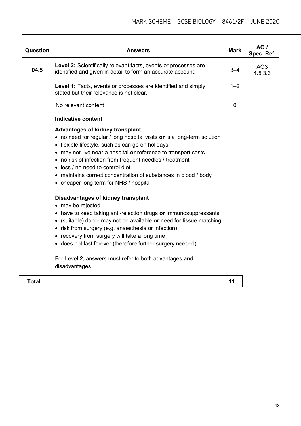| Question     |                                                                                                                                                                                                                                                                                                                                                                                                                                                      | <b>Answers</b> | <b>Mark</b> | <b>AO</b> /<br>Spec. Ref.  |
|--------------|------------------------------------------------------------------------------------------------------------------------------------------------------------------------------------------------------------------------------------------------------------------------------------------------------------------------------------------------------------------------------------------------------------------------------------------------------|----------------|-------------|----------------------------|
| 04.5         | Level 2: Scientifically relevant facts, events or processes are<br>identified and given in detail to form an accurate account.                                                                                                                                                                                                                                                                                                                       |                |             | AO <sub>3</sub><br>4.5.3.3 |
|              | Level 1: Facts, events or processes are identified and simply<br>stated but their relevance is not clear.                                                                                                                                                                                                                                                                                                                                            |                |             |                            |
|              | No relevant content                                                                                                                                                                                                                                                                                                                                                                                                                                  |                | $\mathbf 0$ |                            |
|              | <b>Indicative content</b>                                                                                                                                                                                                                                                                                                                                                                                                                            |                |             |                            |
|              | <b>Advantages of kidney transplant</b><br>• no need for regular / long hospital visits or is a long-term solution<br>• flexible lifestyle, such as can go on holidays<br>• may not live near a hospital or reference to transport costs<br>• no risk of infection from frequent needles / treatment<br>• less / no need to control diet<br>• maintains correct concentration of substances in blood / body<br>• cheaper long term for NHS / hospital |                |             |                            |
|              | Disadvantages of kidney transplant                                                                                                                                                                                                                                                                                                                                                                                                                   |                |             |                            |
|              | • may be rejected<br>• have to keep taking anti-rejection drugs or immunosuppressants<br>• (suitable) donor may not be available or need for tissue matching<br>• risk from surgery (e.g. anaesthesia or infection)<br>• recovery from surgery will take a long time<br>• does not last forever (therefore further surgery needed)                                                                                                                   |                |             |                            |
|              | For Level 2, answers must refer to both advantages and<br>disadvantages                                                                                                                                                                                                                                                                                                                                                                              |                |             |                            |
| <b>Total</b> |                                                                                                                                                                                                                                                                                                                                                                                                                                                      |                | 11          |                            |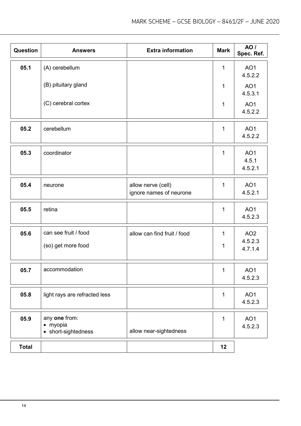| <b>Question</b> | <b>Answers</b>                                   | <b>Extra information</b>                      | <b>Mark</b>  | <b>AO</b> /<br>Spec. Ref.           |
|-----------------|--------------------------------------------------|-----------------------------------------------|--------------|-------------------------------------|
| 05.1            | (A) cerebellum                                   |                                               | 1            | AO <sub>1</sub><br>4.5.2.2          |
|                 | (B) pituitary gland                              |                                               | 1            | AO <sub>1</sub><br>4.5.3.1          |
|                 | (C) cerebral cortex                              |                                               | 1            | AO <sub>1</sub><br>4.5.2.2          |
| 05.2            | cerebellum                                       |                                               | $\mathbf{1}$ | AO <sub>1</sub><br>4.5.2.2          |
| 05.3            | coordinator                                      |                                               | 1            | AO <sub>1</sub><br>4.5.1<br>4.5.2.1 |
| 05.4            | neurone                                          | allow nerve (cell)<br>ignore names of neurone | 1            | AO <sub>1</sub><br>4.5.2.1          |
| 05.5            | retina                                           |                                               | 1            | AO <sub>1</sub><br>4.5.2.3          |
| 05.6            | can see fruit / food                             | allow can find fruit / food                   | 1            | AO <sub>2</sub>                     |
|                 | (so) get more food                               |                                               | 1            | 4.5.2.3<br>4.7.1.4                  |
| 05.7            | accommodation                                    |                                               | 1            | AO <sub>1</sub><br>4.5.2.3          |
| 05.8            | light rays are refracted less                    |                                               | $\mathbf{1}$ | AO1<br>4.5.2.3                      |
| 05.9            | any one from:<br>· myopia<br>• short-sightedness | allow near-sightedness                        | $\mathbf{1}$ | AO1<br>4.5.2.3                      |
| <b>Total</b>    |                                                  |                                               | 12           |                                     |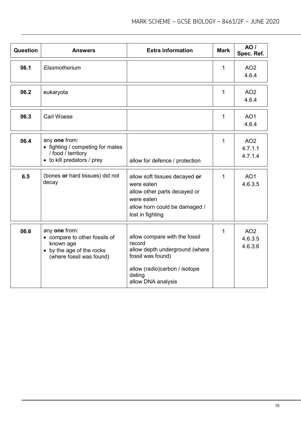| Question | <b>Answers</b>                                                                                                       | <b>Extra information</b>                                                                                                                                        | <b>Mark</b> | <b>AO</b> /<br>Spec. Ref.             |
|----------|----------------------------------------------------------------------------------------------------------------------|-----------------------------------------------------------------------------------------------------------------------------------------------------------------|-------------|---------------------------------------|
| 06.1     | Elasmotherium                                                                                                        |                                                                                                                                                                 | 1           | AO <sub>2</sub><br>4.6.4              |
| 06.2     | eukaryota                                                                                                            |                                                                                                                                                                 | 1           | AO <sub>2</sub><br>4.6.4              |
| 06.3     | <b>Carl Woese</b>                                                                                                    |                                                                                                                                                                 | 1           | AO <sub>1</sub><br>4.6.4              |
| 06.4     | any one from:<br>• fighting / competing for mates<br>/ food / territory<br>• to kill predators / prey                | allow for defence / protection                                                                                                                                  | 1           | AO <sub>2</sub><br>4.7.1.1<br>4.7.1.4 |
| 6.5      | (bones or hard tissues) did not<br>decay                                                                             | allow soft tissues decayed or<br>were eaten<br>allow other parts decayed or<br>were eaten<br>allow horn could be damaged /<br>lost in fighting                  | 1           | AO <sub>1</sub><br>4.6.3.5            |
| 06.6     | any one from:<br>• compare to other fossils of<br>known age<br>• by the age of the rocks<br>(where fossil was found) | allow compare with the fossil<br>record<br>allow depth underground (where<br>fossil was found)<br>allow (radio)carbon / isotope<br>dating<br>allow DNA analysis | 1           | AO <sub>2</sub><br>4.6.3.5<br>4.6.3.6 |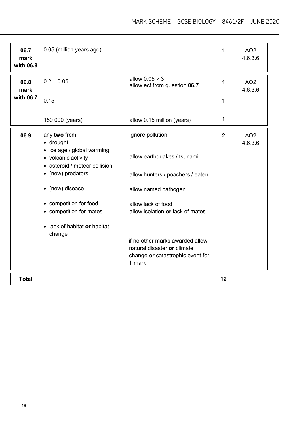| 06.7<br>mark<br>with 06.8 | 0.05 (million years ago)                                                           |                                                                           | 1  | AO <sub>2</sub><br>4.6.3.6 |
|---------------------------|------------------------------------------------------------------------------------|---------------------------------------------------------------------------|----|----------------------------|
| 06.8<br>mark              | $0.2 - 0.05$                                                                       | allow $0.05 \times 3$<br>allow ecf from question 06.7                     | 1  | AO <sub>2</sub><br>4.6.3.6 |
| with 06.7                 | 0.15                                                                               |                                                                           | 1  |                            |
|                           | 150 000 (years)                                                                    | allow 0.15 million (years)                                                | 1  |                            |
| 06.9                      | any two from:<br>· drought                                                         | ignore pollution                                                          | 2  | AO <sub>2</sub><br>4.6.3.6 |
|                           | • ice age / global warming<br>• volcanic activity<br>• asteroid / meteor collision | allow earthquakes / tsunami                                               |    |                            |
|                           | • (new) predators                                                                  | allow hunters / poachers / eaten                                          |    |                            |
|                           | • (new) disease                                                                    | allow named pathogen                                                      |    |                            |
|                           | • competition for food                                                             | allow lack of food                                                        |    |                            |
|                           | • competition for mates                                                            | allow isolation or lack of mates                                          |    |                            |
|                           | • lack of habitat or habitat<br>change                                             |                                                                           |    |                            |
|                           |                                                                                    | if no other marks awarded allow                                           |    |                            |
|                           |                                                                                    | natural disaster or climate<br>change or catastrophic event for<br>1 mark |    |                            |
| <b>Total</b>              |                                                                                    |                                                                           | 12 |                            |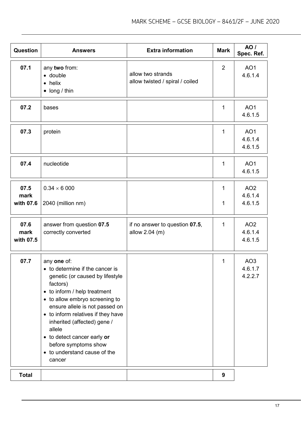| <b>Question</b>           | <b>Answers</b>                                                                                                                                                                                                                                                                                                                                                                    | <b>Extra information</b>                             | <b>Mark</b>    | <b>AO</b> /<br>Spec. Ref.             |
|---------------------------|-----------------------------------------------------------------------------------------------------------------------------------------------------------------------------------------------------------------------------------------------------------------------------------------------------------------------------------------------------------------------------------|------------------------------------------------------|----------------|---------------------------------------|
| 07.1                      | any two from:<br>· double<br>$\bullet$ helix<br>$\bullet$ long / thin                                                                                                                                                                                                                                                                                                             | allow two strands<br>allow twisted / spiral / coiled | $\overline{2}$ | AO1<br>4.6.1.4                        |
| 07.2                      | bases                                                                                                                                                                                                                                                                                                                                                                             |                                                      | $\mathbf 1$    | AO <sub>1</sub><br>4.6.1.5            |
| 07.3                      | protein                                                                                                                                                                                                                                                                                                                                                                           |                                                      | $\mathbf 1$    | AO <sub>1</sub><br>4.6.1.4<br>4.6.1.5 |
| 07.4                      | nucleotide                                                                                                                                                                                                                                                                                                                                                                        |                                                      | $\mathbf{1}$   | AO <sub>1</sub><br>4.6.1.5            |
| 07.5<br>mark<br>with 07.6 | $0.34 \times 6000$<br>2040 (million nm)                                                                                                                                                                                                                                                                                                                                           |                                                      | 1<br>1         | AO <sub>2</sub><br>4.6.1.4<br>4.6.1.5 |
| 07.6<br>mark<br>with 07.5 | answer from question 07.5<br>correctly converted                                                                                                                                                                                                                                                                                                                                  | if no answer to question 07.5,<br>allow 2.04 (m)     | $\mathbf{1}$   | AO <sub>2</sub><br>4.6.1.4<br>4.6.1.5 |
| 07.7                      | any one of:<br>• to determine if the cancer is<br>genetic (or caused by lifestyle<br>factors)<br>• to inform / help treatment<br>• to allow embryo screening to<br>ensure allele is not passed on<br>• to inform relatives if they have<br>inherited (affected) gene /<br>allele<br>• to detect cancer early or<br>before symptoms show<br>• to understand cause of the<br>cancer |                                                      | 1              | AO <sub>3</sub><br>4.6.1.7<br>4.2.2.7 |
| <b>Total</b>              |                                                                                                                                                                                                                                                                                                                                                                                   |                                                      | 9              |                                       |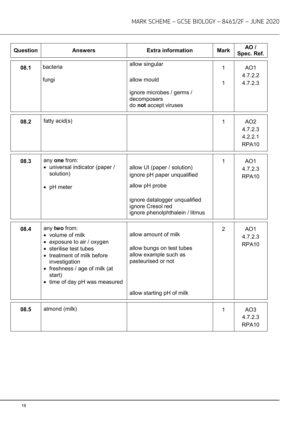| Question | <b>Answers</b>                                                                                                                                                                                                       | <b>Extra information</b>                                                                                                                                              | <b>Mark</b>    | AO /<br>Spec. Ref.                                         |
|----------|----------------------------------------------------------------------------------------------------------------------------------------------------------------------------------------------------------------------|-----------------------------------------------------------------------------------------------------------------------------------------------------------------------|----------------|------------------------------------------------------------|
| 08.1     | bacteria                                                                                                                                                                                                             | allow singular                                                                                                                                                        | $\mathbf{1}$   | AO <sub>1</sub>                                            |
|          | fungi                                                                                                                                                                                                                | allow mould                                                                                                                                                           | 1              | 4.7.2.2<br>4.7.2.3                                         |
|          |                                                                                                                                                                                                                      | ignore microbes / germs /<br>decomposers<br>do not accept viruses                                                                                                     |                |                                                            |
| 08.2     | fatty $acid(s)$                                                                                                                                                                                                      |                                                                                                                                                                       | 1              | AO <sub>2</sub><br>4.7.2.3<br>4.2.2.1<br>RPA <sub>10</sub> |
| 08.3     | any one from:<br>• universal indicator (paper /<br>solution)<br>• pH meter                                                                                                                                           | allow UI (paper / solution)<br>ignore pH paper unqualified<br>allow pH probe<br>ignore datalogger unqualified<br>ignore Cresol red<br>ignore phenolphthalein / litmus | $\mathbf{1}$   | AO <sub>1</sub><br>4.7.2.3<br>RPA <sub>10</sub>            |
| 08.4     | any two from:<br>• volume of milk<br>• exposure to air / oxygen<br>• sterilise test tubes<br>• treatment of milk before<br>investigation<br>• freshness / age of milk (at<br>start)<br>• time of day pH was measured | allow amount of milk<br>allow bungs on test tubes<br>allow example such as<br>pasteurised or not<br>allow starting pH of milk                                         | $\overline{2}$ | AO <sub>1</sub><br>4.7.2.3<br>RPA <sub>10</sub>            |
| 08.5     | almond (milk)                                                                                                                                                                                                        |                                                                                                                                                                       | 1              | AO <sub>3</sub><br>4.7.2.3<br>RPA <sub>10</sub>            |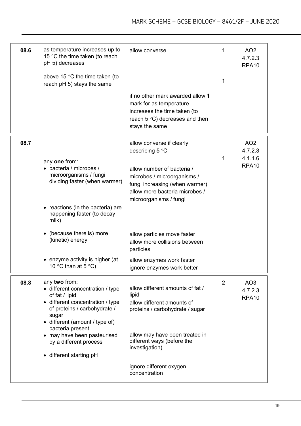| 08.6 | as temperature increases up to<br>15 °C the time taken (to reach<br>pH 5) decreases<br>above 15 $\degree$ C the time taken (to<br>reach pH 5) stays the same                                                                                                                               | allow converse                                                                                                                                                                                                                           | 1<br>1         | AO <sub>2</sub><br>4.7.2.3<br>RPA <sub>10</sub>            |
|------|--------------------------------------------------------------------------------------------------------------------------------------------------------------------------------------------------------------------------------------------------------------------------------------------|------------------------------------------------------------------------------------------------------------------------------------------------------------------------------------------------------------------------------------------|----------------|------------------------------------------------------------|
|      |                                                                                                                                                                                                                                                                                            | if no other mark awarded allow 1<br>mark for as temperature<br>increases the time taken (to<br>reach $5^{\circ}$ C) decreases and then<br>stays the same                                                                                 |                |                                                            |
| 08.7 | any one from:<br>• bacteria / microbes /<br>microorganisms / fungi<br>dividing faster (when warmer)<br>reactions (in the bacteria) are<br>happening faster (to decay<br>milk)                                                                                                              | allow converse if clearly<br>describing $5^{\circ}$ C<br>allow number of bacteria /<br>microbes / microorganisms /<br>fungi increasing (when warmer)<br>allow more bacteria microbes /<br>microorganisms / fungi                         | 1              | AO <sub>2</sub><br>4.7.2.3<br>4.1.1.6<br>RPA <sub>10</sub> |
|      | (because there is) more<br>(kinetic) energy                                                                                                                                                                                                                                                | allow particles move faster<br>allow more collisions between<br>particles                                                                                                                                                                |                |                                                            |
|      | enzyme activity is higher (at<br>10 °C than at 5 °C)                                                                                                                                                                                                                                       | allow enzymes work faster<br>ignore enzymes work better                                                                                                                                                                                  |                |                                                            |
| 08.8 | any two from:<br>• different concentration / type<br>of fat / lipid<br>• different concentration / type<br>of proteins / carbohydrate /<br>sugar<br>• different (amount / type of)<br>bacteria present<br>• may have been pasteurised<br>by a different process<br>• different starting pH | allow different amounts of fat /<br>lipid<br>allow different amounts of<br>proteins / carbohydrate / sugar<br>allow may have been treated in<br>different ways (before the<br>investigation)<br>ignore different oxygen<br>concentration | $\overline{2}$ | AO <sub>3</sub><br>4.7.2.3<br>RPA <sub>10</sub>            |
|      |                                                                                                                                                                                                                                                                                            |                                                                                                                                                                                                                                          |                |                                                            |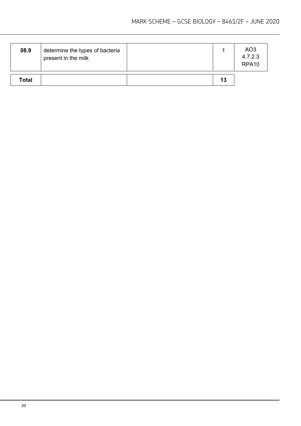| 08.9         | determine the types of bacteria<br>present in the milk |    | AO <sub>3</sub><br>4.7.2.3<br>RPA <sub>10</sub> |
|--------------|--------------------------------------------------------|----|-------------------------------------------------|
| <b>Total</b> |                                                        | 13 |                                                 |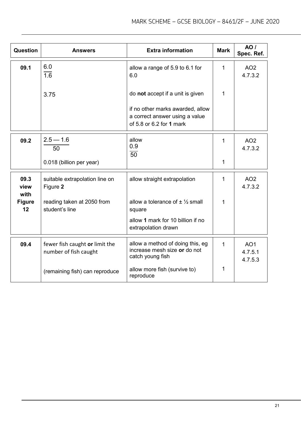| Question             | Answers                                                 | <b>Extra information</b>                                                                       | <b>Mark</b> | AO/<br>Spec. Ref.                     |
|----------------------|---------------------------------------------------------|------------------------------------------------------------------------------------------------|-------------|---------------------------------------|
| 09.1                 | 6.0<br>$\overline{1.6}$                                 | allow a range of 5.9 to 6.1 for<br>6.0                                                         | 1           | AO <sub>2</sub><br>4.7.3.2            |
|                      | 3.75                                                    | do not accept if a unit is given                                                               | 1           |                                       |
|                      |                                                         | if no other marks awarded, allow<br>a correct answer using a value<br>of 5.8 or 6.2 for 1 mark |             |                                       |
| 09.2                 | $2.5 - 1.6$<br>50                                       | allow<br>0.9<br>$\overline{50}$                                                                | 1           | AO <sub>2</sub><br>4.7.3.2            |
|                      | 0.018 (billion per year)                                |                                                                                                | 1           |                                       |
| 09.3<br>view<br>with | suitable extrapolation line on<br>Figure 2              | allow straight extrapolation                                                                   | 1           | AO <sub>2</sub><br>4.7.3.2            |
| <b>Figure</b><br>12  | reading taken at 2050 from<br>student's line            | allow a tolerance of $\pm \frac{1}{2}$ small<br>square                                         | 1           |                                       |
|                      |                                                         | allow 1 mark for 10 billion if no<br>extrapolation drawn                                       |             |                                       |
| 09.4                 | fewer fish caught or limit the<br>number of fish caught | allow a method of doing this, eg<br>increase mesh size or do not<br>catch young fish           | 1           | AO <sub>1</sub><br>4.7.5.1<br>4.7.5.3 |
|                      | (remaining fish) can reproduce                          | allow more fish (survive to)<br>reproduce                                                      | 1           |                                       |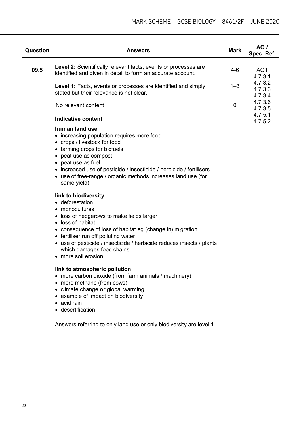| <b>Question</b> | <b>Answers</b>                                                                                                                                                                                                                                                                                                                                                                                                                                                                                                                                                                                                                                                                                                                                                                                                                                                                                                                                                                                                                                         | <b>Mark</b> | <b>AO</b> /<br>Spec. Ref.     |  |
|-----------------|--------------------------------------------------------------------------------------------------------------------------------------------------------------------------------------------------------------------------------------------------------------------------------------------------------------------------------------------------------------------------------------------------------------------------------------------------------------------------------------------------------------------------------------------------------------------------------------------------------------------------------------------------------------------------------------------------------------------------------------------------------------------------------------------------------------------------------------------------------------------------------------------------------------------------------------------------------------------------------------------------------------------------------------------------------|-------------|-------------------------------|--|
| 09.5            | <b>Level 2:</b> Scientifically relevant facts, events or processes are<br>identified and given in detail to form an accurate account.                                                                                                                                                                                                                                                                                                                                                                                                                                                                                                                                                                                                                                                                                                                                                                                                                                                                                                                  | $4 - 6$     | AO <sub>1</sub><br>4.7.3.1    |  |
|                 | <b>Level 1:</b> Facts, events or processes are identified and simply<br>stated but their relevance is not clear.                                                                                                                                                                                                                                                                                                                                                                                                                                                                                                                                                                                                                                                                                                                                                                                                                                                                                                                                       | $1 - 3$     | 4.7.3.2<br>4.7.3.3<br>4.7.3.4 |  |
|                 | No relevant content                                                                                                                                                                                                                                                                                                                                                                                                                                                                                                                                                                                                                                                                                                                                                                                                                                                                                                                                                                                                                                    | 0           | 4.7.3.6<br>4.7.3.5            |  |
|                 | <b>Indicative content</b><br>human land use<br>• increasing population requires more food<br>• crops / livestock for food<br>• farming crops for biofuels<br>• peat use as compost<br>• peat use as fuel<br>• increased use of pesticide / insecticide / herbicide / fertilisers<br>• use of free-range / organic methods increases land use (for<br>same yield)<br>link to biodiversity<br>• deforestation<br>• monocultures<br>• loss of hedgerows to make fields larger<br>• loss of habitat<br>• consequence of loss of habitat eg (change in) migration<br>• fertiliser run off polluting water<br>• use of pesticide / insecticide / herbicide reduces insects / plants<br>which damages food chains<br>• more soil erosion<br>link to atmospheric pollution<br>more carbon dioxide (from farm animals / machinery)<br>$\bullet$<br>• more methane (from cows)<br>climate change or global warming<br>example of impact on biodiversity<br>acid rain<br>• desertification<br>Answers referring to only land use or only biodiversity are level 1 |             | 4.7.5.1<br>4.7.5.2            |  |